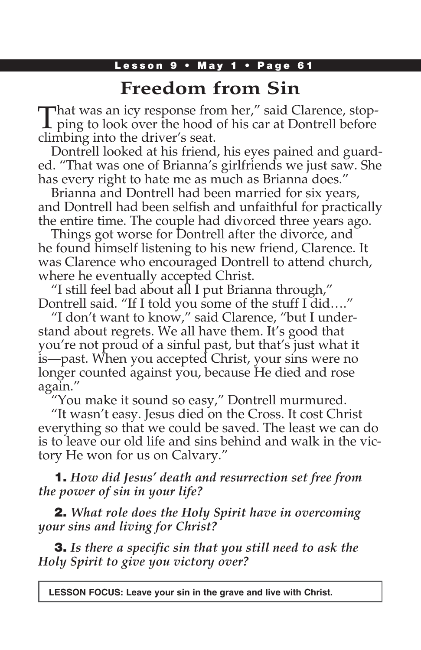### Lesson 9 • May 1 • Page 61

# **Freedom from Sin**

That was an icy response from her," said Clarence, stop-<br>ping to look over the hood of his car at Dontrell before climbing into the driver's seat.

Dontrell looked at his friend, his eyes pained and guarded. "That was one of Brianna's girlfriends we just saw. She has every right to hate me as much as Brianna does."

Brianna and Dontrell had been married for six years, and Dontrell had been selfish and unfaithful for practically the entire time. The couple had divorced three years ago.

Things got worse for Dontrell after the divorce, and he found himself listening to his new friend, Clarence. It was Clarence who encouraged Dontrell to attend church, where he eventually accepted Christ.

"I still feel bad about all I put Brianna through," Dontrell said. "If I told you some of the stuff I did…."

"I don't want to know," said Clarence, "but I understand about regrets. We all have them. It's good that you're not proud of a sinful past, but that's just what it is—past. When you accepted Christ, your sins were no longer counted against you, because He died and rose again."

"You make it sound so easy," Dontrell murmured.

"It wasn't easy. Jesus died on the Cross. It cost Christ everything so that we could be saved. The least we can do is to leave our old life and sins behind and walk in the victory He won for us on Calvary."

1. *How did Jesus' death and resurrection set free from the power of sin in your life?*

2. *What role does the Holy Spirit have in overcoming your sins and living for Christ?*

3. *Is there a specific sin that you still need to ask the Holy Spirit to give you victory over?*

**LESSON FOCUS: Leave your sin in the grave and live with Christ.**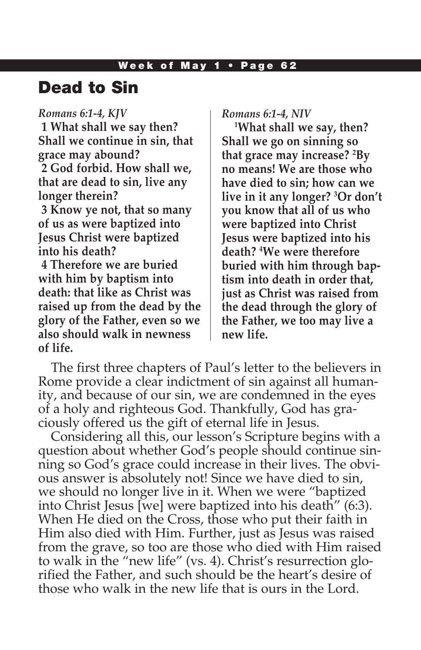# Dead to Sin

*Romans 6:1-4, KJV* **1 What shall we say then? Shall we continue in sin, that grace may abound? 2 God forbid. How shall we, that are dead to sin, live any longer therein? 3 Know ye not, that so many of us as were baptized into Jesus Christ were baptized into his death? 4 Therefore we are buried with him by baptism into death: that like as Christ was raised up from the dead by the glory of the Father, even so we also should walk in newness of life.**

*Romans 6:1-4, NIV* 

**1 What shall we say, then? Shall we go on sinning so that grace may increase? 2 By no means! We are those who have died to sin; how can we live in it any longer? 3 Or don't you know that all of us who were baptized into Christ Jesus were baptized into his death? 4 We were therefore buried with him through baptism into death in order that, just as Christ was raised from the dead through the glory of the Father, we too may live a new life.**

The first three chapters of Paul's letter to the believers in Rome provide a clear indictment of sin against all humanity, and because of our sin, we are condemned in the eyes of a holy and righteous God. Thankfully, God has graciously offered us the gift of eternal life in Jesus.

Considering all this, our lesson's Scripture begins with a question about whether God's people should continue sinning so God's grace could increase in their lives. The obvious answer is absolutely not! Since we have died to sin, we should no longer live in it. When we were "baptized into Christ Jesus [we] were baptized into his death" (6:3). When He died on the Cross, those who put their faith in Him also died with Him. Further, just as Jesus was raised from the grave, so too are those who died with Him raised to walk in the "new life" (vs. 4). Christ's resurrection glorified the Father, and such should be the heart's desire of those who walk in the new life that is ours in the Lord.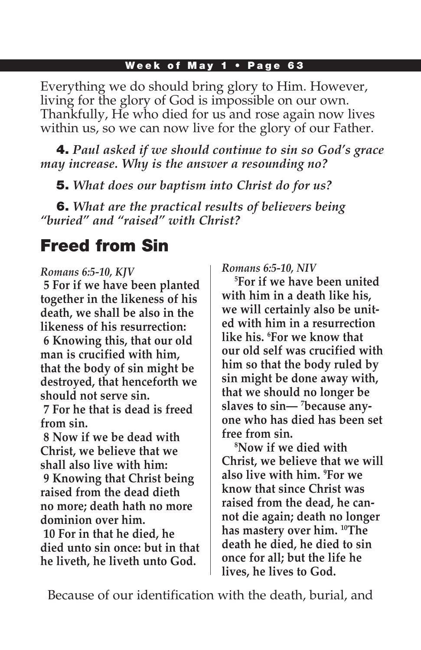Everything we do should bring glory to Him. However, living for the glory of God is impossible on our own. Thankfully, He who died for us and rose again now lives within us, so we can now live for the glory of our Father.

4. *Paul asked if we should continue to sin so God's grace may increase. Why is the answer a resounding no?*

5. *What does our baptism into Christ do for us?*

6. *What are the practical results of believers being "buried" and "raised" with Christ?*

# Freed from Sin

### *Romans 6:5-10, KJV*

**5 For if we have been planted together in the likeness of his death, we shall be also in the likeness of his resurrection: 6 Knowing this, that our old man is crucified with him, that the body of sin might be destroyed, that henceforth we should not serve sin.**

**7 For he that is dead is freed from sin.**

**8 Now if we be dead with Christ, we believe that we shall also live with him:**

**9 Knowing that Christ being raised from the dead dieth no more; death hath no more dominion over him.**

**10 For in that he died, he died unto sin once: but in that he liveth, he liveth unto God.**

*Romans 6:5-10, NIV* 

**5 For if we have been united with him in a death like his, we will certainly also be united with him in a resurrection like his. 6 For we know that our old self was crucified with him so that the body ruled by sin might be done away with, that we should no longer be slaves to sin— 7 because anyone who has died has been set free from sin.**

**8 Now if we died with Christ, we believe that we will also live with him. 9 For we know that since Christ was raised from the dead, he cannot die again; death no longer has mastery over him. 10The death he died, he died to sin once for all; but the life he lives, he lives to God.**

Because of our identification with the death, burial, and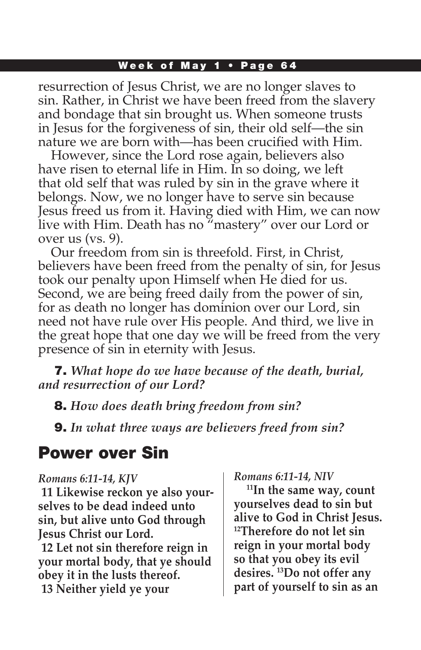resurrection of Jesus Christ, we are no longer slaves to sin. Rather, in Christ we have been freed from the slavery and bondage that sin brought us. When someone trusts in Jesus for the forgiveness of sin, their old self—the sin nature we are born with—has been crucified with Him.

However, since the Lord rose again, believers also have risen to eternal life in Him. In so doing, we left that old self that was ruled by sin in the grave where it belongs. Now, we no longer have to serve sin because Jesus freed us from it. Having died with Him, we can now live with Him. Death has no "mastery" over our Lord or over us (vs. 9).

Our freedom from sin is threefold. First, in Christ, believers have been freed from the penalty of sin, for Jesus took our penalty upon Himself when He died for us. Second, we are being freed daily from the power of sin, for as death no longer has dominion over our Lord, sin need not have rule over His people. And third, we live in the great hope that one day we will be freed from the very presence of sin in eternity with Jesus.

7. *What hope do we have because of the death, burial, and resurrection of our Lord?* 

8. *How does death bring freedom from sin?*

9. *In what three ways are believers freed from sin?*

## Power over Sin

#### *Romans 6:11-14, KJV*

**11 Likewise reckon ye also yourselves to be dead indeed unto sin, but alive unto God through Jesus Christ our Lord.**

**12 Let not sin therefore reign in your mortal body, that ye should obey it in the lusts thereof. 13 Neither yield ye your** 

#### *Romans 6:11-14, NIV*

**11In the same way, count yourselves dead to sin but alive to God in Christ Jesus. 12Therefore do not let sin reign in your mortal body so that you obey its evil desires. 13Do not offer any part of yourself to sin as an**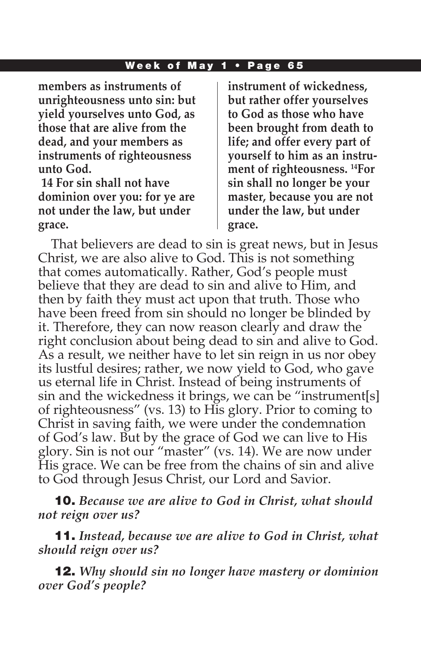**members as instruments of unrighteousness unto sin: but yield yourselves unto God, as those that are alive from the dead, and your members as instruments of righteousness unto God.**

**14 For sin shall not have dominion over you: for ye are not under the law, but under grace.**

**instrument of wickedness, but rather offer yourselves to God as those who have been brought from death to life; and offer every part of yourself to him as an instrument of righteousness. 14For sin shall no longer be your master, because you are not under the law, but under grace.** 

That believers are dead to sin is great news, but in Jesus Christ, we are also alive to God. This is not something that comes automatically. Rather, God's people must believe that they are dead to sin and alive to Him, and then by faith they must act upon that truth. Those who have been freed from sin should no longer be blinded by it. Therefore, they can now reason clearly and draw the right conclusion about being dead to sin and alive to God. As a result, we neither have to let sin reign in us nor obey its lustful desires; rather, we now yield to God, who gave us eternal life in Christ. Instead of being instruments of sin and the wickedness it brings, we can be "instrument[s] of righteousness" (vs. 13) to His glory. Prior to coming to Christ in saving faith, we were under the condemnation of God's law. But by the grace of God we can live to His glory. Sin is not our "master" (vs. 14). We are now under His grace. We can be free from the chains of sin and alive to God through Jesus Christ, our Lord and Savior.

10. *Because we are alive to God in Christ, what should not reign over us?*

11. *Instead, because we are alive to God in Christ, what should reign over us?*

12. *Why should sin no longer have mastery or dominion over God's people?*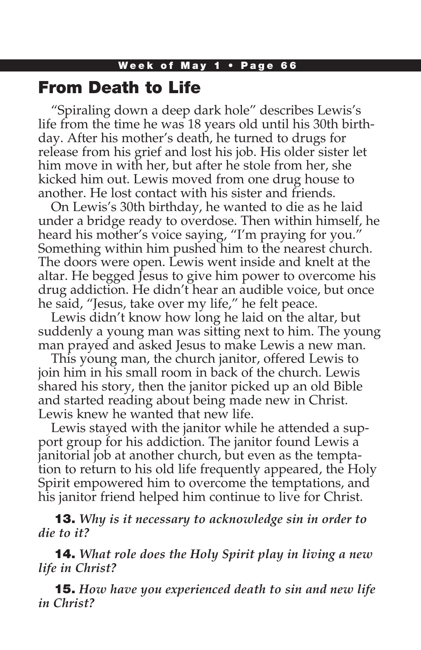### From Death to Life

"Spiraling down a deep dark hole" describes Lewis's life from the time he was 18 years old until his 30th birthday. After his mother's death, he turned to drugs for release from his grief and lost his job. His older sister let him move in with her, but after he stole from her, she kicked him out. Lewis moved from one drug house to another. He lost contact with his sister and friends.

On Lewis's 30th birthday, he wanted to die as he laid under a bridge ready to overdose. Then within himself, he heard his mother's voice saying, "I'm praying for you." Something within him pushed him to the nearest church. The doors were open. Lewis went inside and knelt at the altar. He begged Jesus to give him power to overcome his drug addiction. He didn't hear an audible voice, but once he said, "Jesus, take over my life," he felt peace.

Lewis didn't know how long he laid on the altar, but suddenly a young man was sitting next to him. The young man prayed and asked Jesus to make Lewis a new man.

This young man, the church janitor, offered Lewis to join him in his small room in back of the church. Lewis shared his story, then the janitor picked up an old Bible and started reading about being made new in Christ. Lewis knew he wanted that new life.

Lewis stayed with the janitor while he attended a support group for his addiction. The janitor found Lewis a janitorial job at another church, but even as the temptation to return to his old life frequently appeared, the Holy Spirit empowered him to overcome the temptations, and his janitor friend helped him continue to live for Christ.

13. *Why is it necessary to acknowledge sin in order to die to it?* 

14. *What role does the Holy Spirit play in living a new life in Christ?*

15. *How have you experienced death to sin and new life in Christ?*